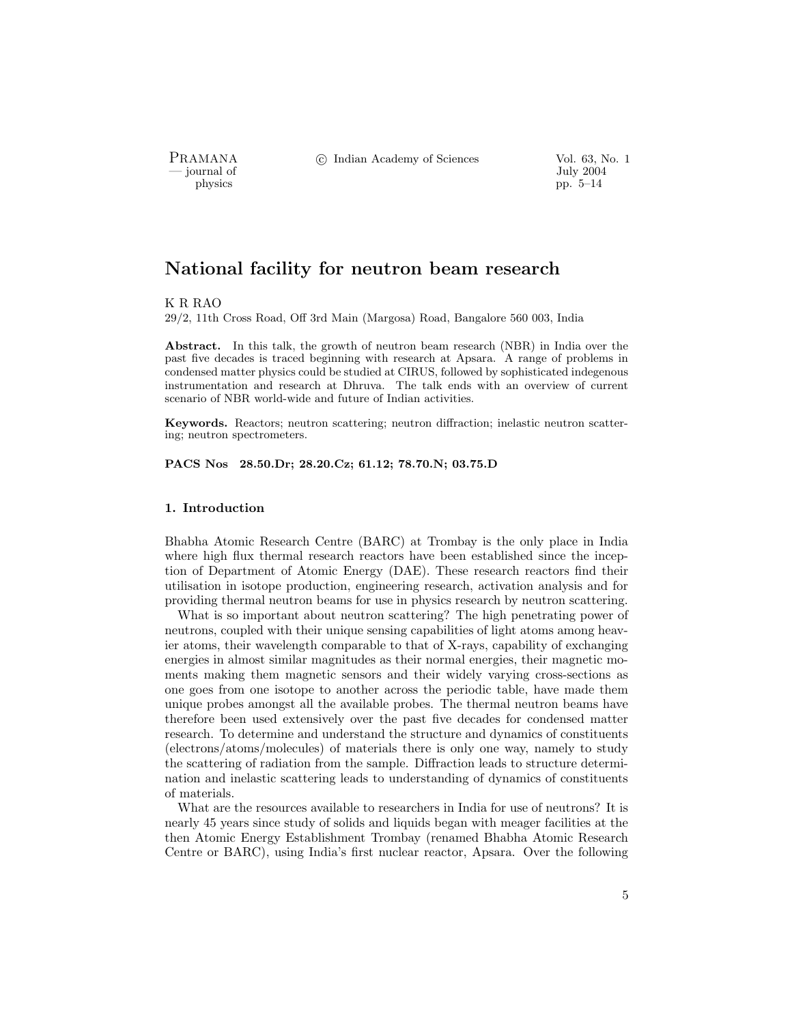burnal of July 2004<br>
physics pp. 5–14

PRAMANA °c Indian Academy of Sciences Vol. 63, No. 1

pp. 5–14

# National facility for neutron beam research

K R RAO

29/2, 11th Cross Road, Off 3rd Main (Margosa) Road, Bangalore 560 003, India

Abstract. In this talk, the growth of neutron beam research (NBR) in India over the past five decades is traced beginning with research at Apsara. A range of problems in condensed matter physics could be studied at CIRUS, followed by sophisticated indegenous instrumentation and research at Dhruva. The talk ends with an overview of current scenario of NBR world-wide and future of Indian activities.

Keywords. Reactors; neutron scattering; neutron diffraction; inelastic neutron scattering; neutron spectrometers.

PACS Nos 28.50.Dr; 28.20.Cz; 61.12; 78.70.N; 03.75.D

### 1. Introduction

Bhabha Atomic Research Centre (BARC) at Trombay is the only place in India where high flux thermal research reactors have been established since the inception of Department of Atomic Energy (DAE). These research reactors find their utilisation in isotope production, engineering research, activation analysis and for providing thermal neutron beams for use in physics research by neutron scattering.

What is so important about neutron scattering? The high penetrating power of neutrons, coupled with their unique sensing capabilities of light atoms among heavier atoms, their wavelength comparable to that of X-rays, capability of exchanging energies in almost similar magnitudes as their normal energies, their magnetic moments making them magnetic sensors and their widely varying cross-sections as one goes from one isotope to another across the periodic table, have made them unique probes amongst all the available probes. The thermal neutron beams have therefore been used extensively over the past five decades for condensed matter research. To determine and understand the structure and dynamics of constituents (electrons/atoms/molecules) of materials there is only one way, namely to study the scattering of radiation from the sample. Diffraction leads to structure determination and inelastic scattering leads to understanding of dynamics of constituents of materials.

What are the resources available to researchers in India for use of neutrons? It is nearly 45 years since study of solids and liquids began with meager facilities at the then Atomic Energy Establishment Trombay (renamed Bhabha Atomic Research Centre or BARC), using India's first nuclear reactor, Apsara. Over the following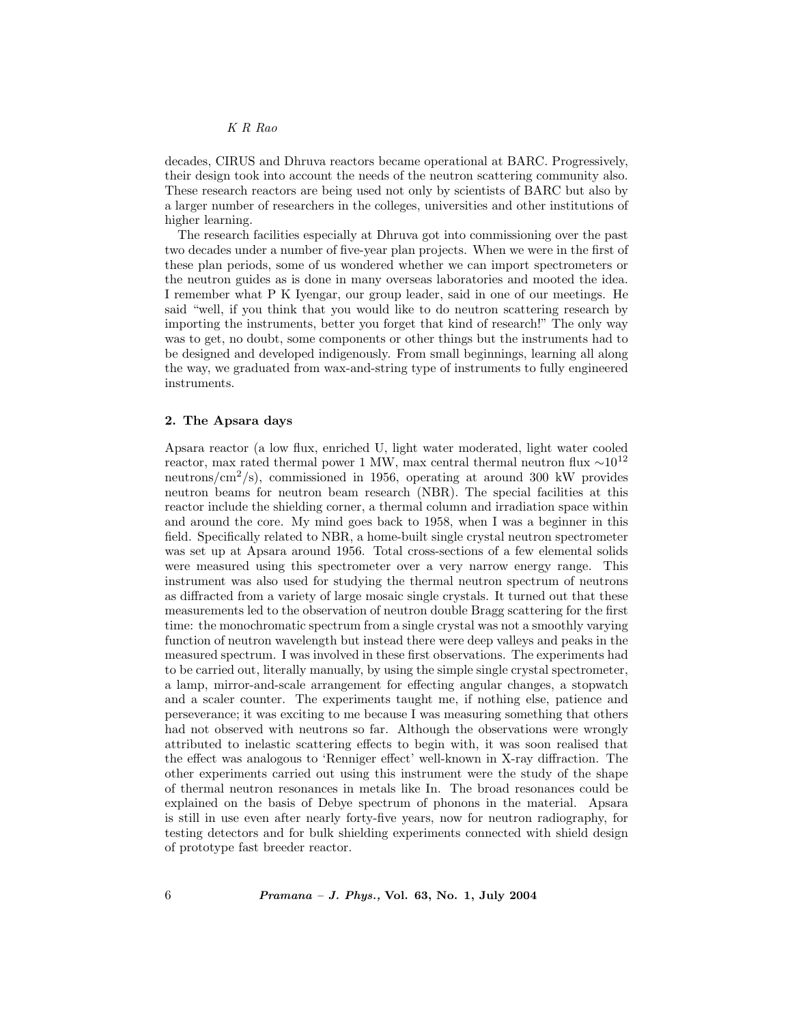decades, CIRUS and Dhruva reactors became operational at BARC. Progressively, their design took into account the needs of the neutron scattering community also. These research reactors are being used not only by scientists of BARC but also by a larger number of researchers in the colleges, universities and other institutions of higher learning.

The research facilities especially at Dhruva got into commissioning over the past two decades under a number of five-year plan projects. When we were in the first of these plan periods, some of us wondered whether we can import spectrometers or the neutron guides as is done in many overseas laboratories and mooted the idea. I remember what P K Iyengar, our group leader, said in one of our meetings. He said "well, if you think that you would like to do neutron scattering research by importing the instruments, better you forget that kind of research!" The only way was to get, no doubt, some components or other things but the instruments had to be designed and developed indigenously. From small beginnings, learning all along the way, we graduated from wax-and-string type of instruments to fully engineered instruments.

### 2. The Apsara days

Apsara reactor (a low flux, enriched U, light water moderated, light water cooled reactor, max rated thermal power 1 MW, max central thermal neutron flux  $\sim$ 10<sup>12</sup> neutrons/cm2/s), commissioned in 1956, operating at around 300 kW provides neutron beams for neutron beam research (NBR). The special facilities at this reactor include the shielding corner, a thermal column and irradiation space within and around the core. My mind goes back to 1958, when I was a beginner in this field. Specifically related to NBR, a home-built single crystal neutron spectrometer was set up at Apsara around 1956. Total cross-sections of a few elemental solids were measured using this spectrometer over a very narrow energy range. This instrument was also used for studying the thermal neutron spectrum of neutrons as diffracted from a variety of large mosaic single crystals. It turned out that these measurements led to the observation of neutron double Bragg scattering for the first time: the monochromatic spectrum from a single crystal was not a smoothly varying function of neutron wavelength but instead there were deep valleys and peaks in the measured spectrum. I was involved in these first observations. The experiments had to be carried out, literally manually, by using the simple single crystal spectrometer, a lamp, mirror-and-scale arrangement for effecting angular changes, a stopwatch and a scaler counter. The experiments taught me, if nothing else, patience and perseverance; it was exciting to me because I was measuring something that others had not observed with neutrons so far. Although the observations were wrongly attributed to inelastic scattering effects to begin with, it was soon realised that the effect was analogous to 'Renniger effect' well-known in X-ray diffraction. The other experiments carried out using this instrument were the study of the shape of thermal neutron resonances in metals like In. The broad resonances could be explained on the basis of Debye spectrum of phonons in the material. Apsara is still in use even after nearly forty-five years, now for neutron radiography, for testing detectors and for bulk shielding experiments connected with shield design of prototype fast breeder reactor.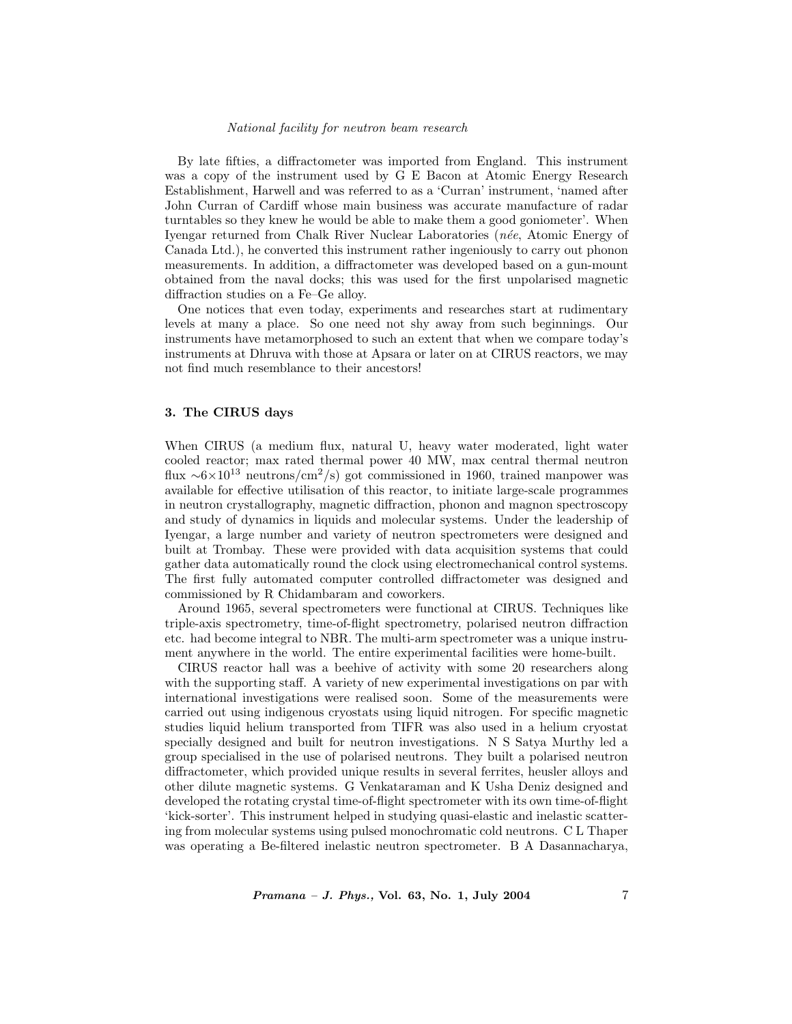By late fifties, a diffractometer was imported from England. This instrument was a copy of the instrument used by G E Bacon at Atomic Energy Research Establishment, Harwell and was referred to as a 'Curran' instrument, 'named after John Curran of Cardiff whose main business was accurate manufacture of radar turntables so they knew he would be able to make them a good goniometer'. When Iyengar returned from Chalk River Nuclear Laboratories (n´ee, Atomic Energy of Canada Ltd.), he converted this instrument rather ingeniously to carry out phonon measurements. In addition, a diffractometer was developed based on a gun-mount obtained from the naval docks; this was used for the first unpolarised magnetic diffraction studies on a Fe–Ge alloy.

One notices that even today, experiments and researches start at rudimentary levels at many a place. So one need not shy away from such beginnings. Our instruments have metamorphosed to such an extent that when we compare today's instruments at Dhruva with those at Apsara or later on at CIRUS reactors, we may not find much resemblance to their ancestors!

### 3. The CIRUS days

When CIRUS (a medium flux, natural U, heavy water moderated, light water cooled reactor; max rated thermal power 40 MW, max central thermal neutron flux  $\sim 6 \times 10^{13}$  neutrons/cm<sup>2</sup>/s) got commissioned in 1960, trained manpower was available for effective utilisation of this reactor, to initiate large-scale programmes in neutron crystallography, magnetic diffraction, phonon and magnon spectroscopy and study of dynamics in liquids and molecular systems. Under the leadership of Iyengar, a large number and variety of neutron spectrometers were designed and built at Trombay. These were provided with data acquisition systems that could gather data automatically round the clock using electromechanical control systems. The first fully automated computer controlled diffractometer was designed and commissioned by R Chidambaram and coworkers.

Around 1965, several spectrometers were functional at CIRUS. Techniques like triple-axis spectrometry, time-of-flight spectrometry, polarised neutron diffraction etc. had become integral to NBR. The multi-arm spectrometer was a unique instrument anywhere in the world. The entire experimental facilities were home-built.

CIRUS reactor hall was a beehive of activity with some 20 researchers along with the supporting staff. A variety of new experimental investigations on par with international investigations were realised soon. Some of the measurements were carried out using indigenous cryostats using liquid nitrogen. For specific magnetic studies liquid helium transported from TIFR was also used in a helium cryostat specially designed and built for neutron investigations. N S Satya Murthy led a group specialised in the use of polarised neutrons. They built a polarised neutron diffractometer, which provided unique results in several ferrites, heusler alloys and other dilute magnetic systems. G Venkataraman and K Usha Deniz designed and developed the rotating crystal time-of-flight spectrometer with its own time-of-flight 'kick-sorter'. This instrument helped in studying quasi-elastic and inelastic scattering from molecular systems using pulsed monochromatic cold neutrons. C L Thaper was operating a Be-filtered inelastic neutron spectrometer. B A Dasannacharya,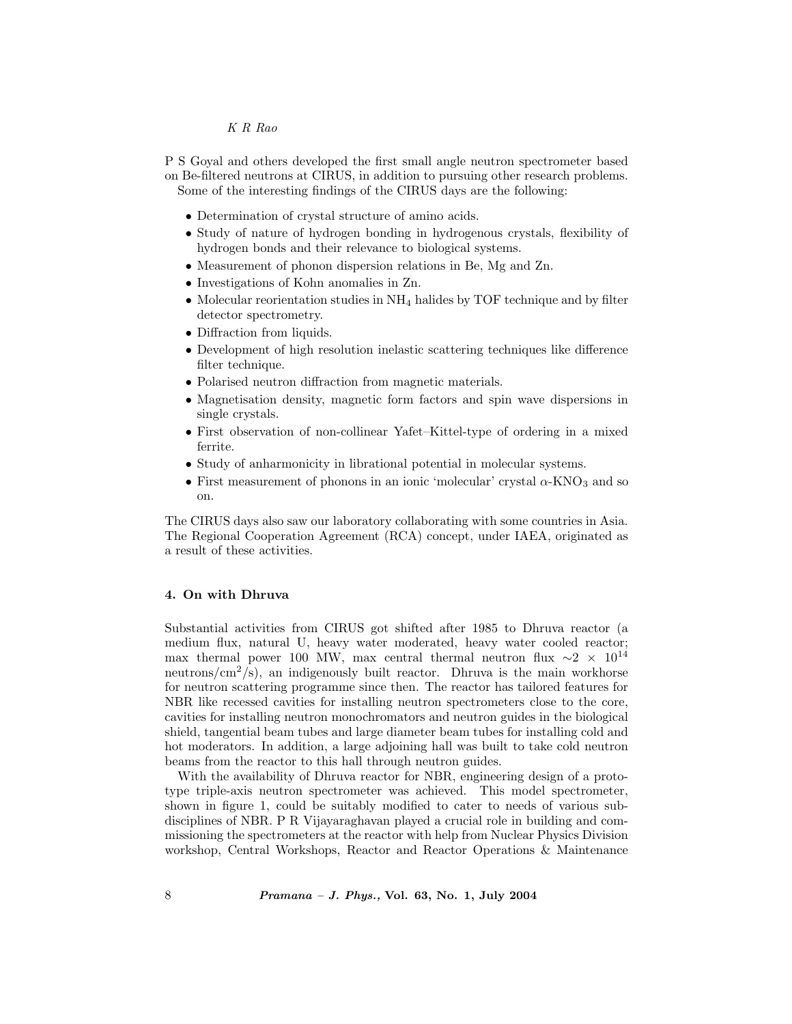P S Goyal and others developed the first small angle neutron spectrometer based on Be-filtered neutrons at CIRUS, in addition to pursuing other research problems. Some of the interesting findings of the CIRUS days are the following:

- Determination of crystal structure of amino acids.
- Study of nature of hydrogen bonding in hydrogenous crystals, flexibility of hydrogen bonds and their relevance to biological systems.
- Measurement of phonon dispersion relations in Be, Mg and Zn.
- Investigations of Kohn anomalies in Zn.
- Molecular reorientation studies in NH<sup>4</sup> halides by TOF technique and by filter detector spectrometry.
- Diffraction from liquids.
- Development of high resolution inelastic scattering techniques like difference filter technique.
- Polarised neutron diffraction from magnetic materials.
- Magnetisation density, magnetic form factors and spin wave dispersions in single crystals.
- First observation of non-collinear Yafet–Kittel-type of ordering in a mixed ferrite.
- Study of anharmonicity in librational potential in molecular systems.
- First measurement of phonons in an ionic 'molecular' crystal  $\alpha$ -KNO<sub>3</sub> and so on.

The CIRUS days also saw our laboratory collaborating with some countries in Asia. The Regional Cooperation Agreement (RCA) concept, under IAEA, originated as a result of these activities.

# 4. On with Dhruva

Substantial activities from CIRUS got shifted after 1985 to Dhruva reactor (a medium flux, natural U, heavy water moderated, heavy water cooled reactor; max thermal power 100 MW, max central thermal neutron flux  $\sim$ 2 × 10<sup>14</sup> neutrons/ $\text{cm}^2\text{/s}$ ), an indigenously built reactor. Dhruva is the main workhorse for neutron scattering programme since then. The reactor has tailored features for NBR like recessed cavities for installing neutron spectrometers close to the core, cavities for installing neutron monochromators and neutron guides in the biological shield, tangential beam tubes and large diameter beam tubes for installing cold and hot moderators. In addition, a large adjoining hall was built to take cold neutron beams from the reactor to this hall through neutron guides.

With the availability of Dhruva reactor for NBR, engineering design of a prototype triple-axis neutron spectrometer was achieved. This model spectrometer, shown in figure 1, could be suitably modified to cater to needs of various subdisciplines of NBR. P R Vijayaraghavan played a crucial role in building and commissioning the spectrometers at the reactor with help from Nuclear Physics Division workshop, Central Workshops, Reactor and Reactor Operations & Maintenance

8 Pramana – J. Phys., Vol. 63, No. 1, July 2004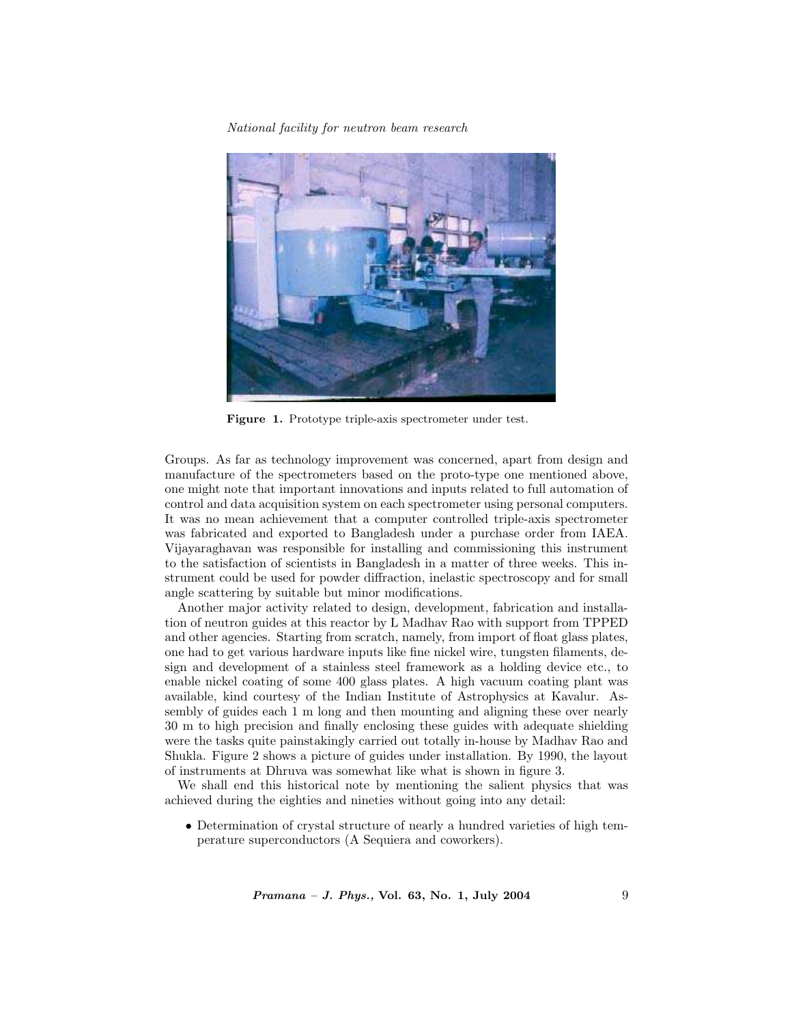

Figure 1. Prototype triple-axis spectrometer under test.

Groups. As far as technology improvement was concerned, apart from design and manufacture of the spectrometers based on the proto-type one mentioned above, one might note that important innovations and inputs related to full automation of control and data acquisition system on each spectrometer using personal computers. It was no mean achievement that a computer controlled triple-axis spectrometer was fabricated and exported to Bangladesh under a purchase order from IAEA. Vijayaraghavan was responsible for installing and commissioning this instrument to the satisfaction of scientists in Bangladesh in a matter of three weeks. This instrument could be used for powder diffraction, inelastic spectroscopy and for small angle scattering by suitable but minor modifications.

Another major activity related to design, development, fabrication and installation of neutron guides at this reactor by L Madhav Rao with support from TPPED and other agencies. Starting from scratch, namely, from import of float glass plates, one had to get various hardware inputs like fine nickel wire, tungsten filaments, design and development of a stainless steel framework as a holding device etc., to enable nickel coating of some 400 glass plates. A high vacuum coating plant was available, kind courtesy of the Indian Institute of Astrophysics at Kavalur. Assembly of guides each 1 m long and then mounting and aligning these over nearly 30 m to high precision and finally enclosing these guides with adequate shielding were the tasks quite painstakingly carried out totally in-house by Madhav Rao and Shukla. Figure 2 shows a picture of guides under installation. By 1990, the layout of instruments at Dhruva was somewhat like what is shown in figure 3.

We shall end this historical note by mentioning the salient physics that was achieved during the eighties and nineties without going into any detail:

• Determination of crystal structure of nearly a hundred varieties of high temperature superconductors (A Sequiera and coworkers).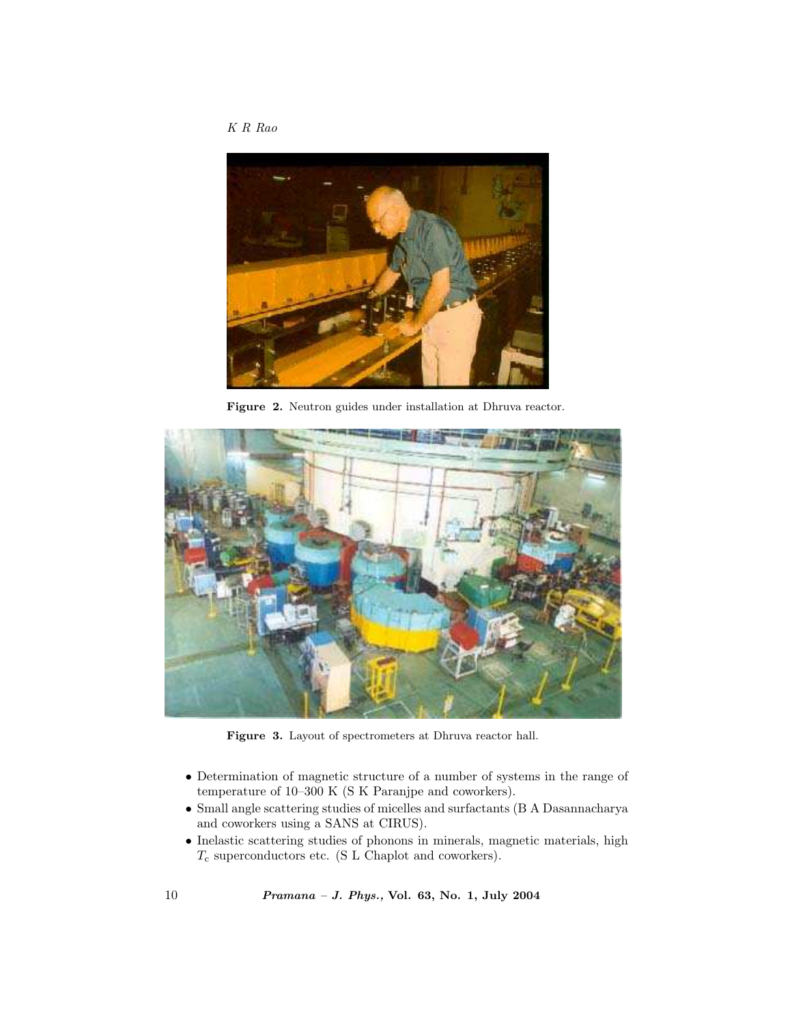



Figure 2. Neutron guides under installation at Dhruva reactor.



Figure 3. Layout of spectrometers at Dhruva reactor hall.

- Determination of magnetic structure of a number of systems in the range of temperature of 10–300 K (S K Paranjpe and coworkers).
- Small angle scattering studies of micelles and surfactants (B A Dasannacharya and coworkers using a SANS at CIRUS).
- Inelastic scattering studies of phonons in minerals, magnetic materials, high  $T_c$  superconductors etc. (S L Chaplot and coworkers).

10 Pramana – J. Phys., Vol. 63, No. 1, July 2004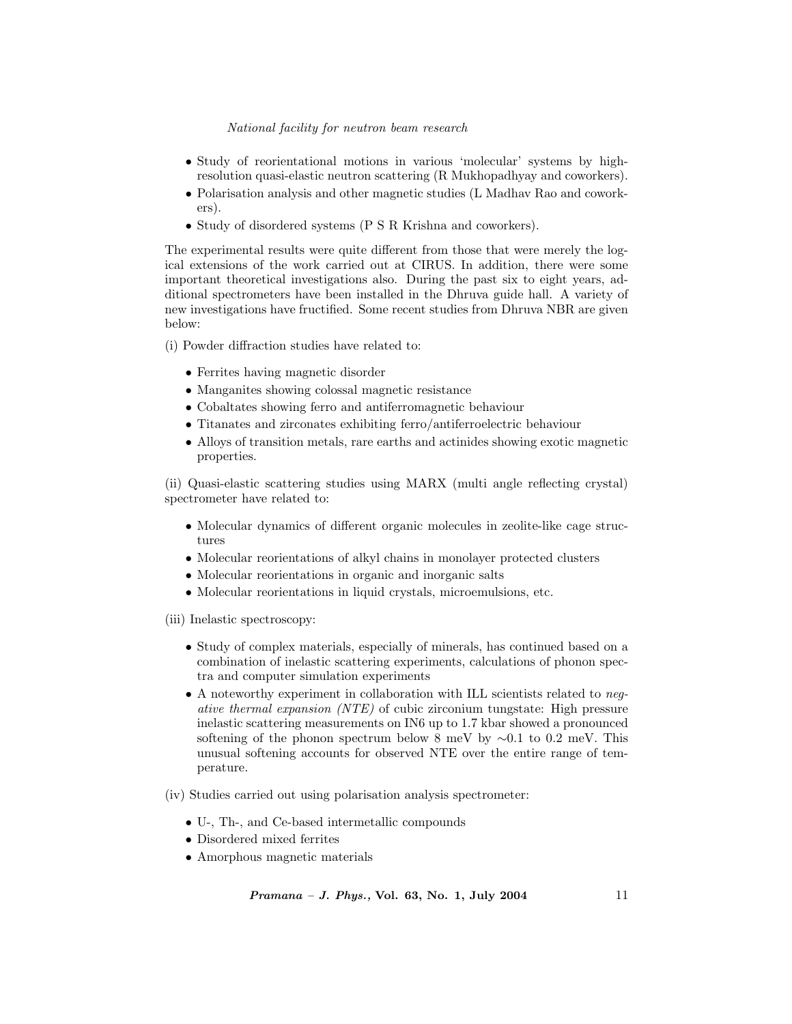- Study of reorientational motions in various 'molecular' systems by highresolution quasi-elastic neutron scattering (R Mukhopadhyay and coworkers).
- Polarisation analysis and other magnetic studies (L Madhav Rao and coworkers).
- Study of disordered systems (P S R Krishna and coworkers).

The experimental results were quite different from those that were merely the logical extensions of the work carried out at CIRUS. In addition, there were some important theoretical investigations also. During the past six to eight years, additional spectrometers have been installed in the Dhruva guide hall. A variety of new investigations have fructified. Some recent studies from Dhruva NBR are given below:

(i) Powder diffraction studies have related to:

- Ferrites having magnetic disorder
- Manganites showing colossal magnetic resistance
- Cobaltates showing ferro and antiferromagnetic behaviour
- Titanates and zirconates exhibiting ferro/antiferroelectric behaviour
- Alloys of transition metals, rare earths and actinides showing exotic magnetic properties.

(ii) Quasi-elastic scattering studies using MARX (multi angle reflecting crystal) spectrometer have related to:

- Molecular dynamics of different organic molecules in zeolite-like cage structures
- Molecular reorientations of alkyl chains in monolayer protected clusters
- Molecular reorientations in organic and inorganic salts
- Molecular reorientations in liquid crystals, microemulsions, etc.

(iii) Inelastic spectroscopy:

- Study of complex materials, especially of minerals, has continued based on a combination of inelastic scattering experiments, calculations of phonon spectra and computer simulation experiments
- A noteworthy experiment in collaboration with ILL scientists related to negative thermal expansion (NTE) of cubic zirconium tungstate: High pressure inelastic scattering measurements on IN6 up to 1.7 kbar showed a pronounced softening of the phonon spectrum below 8 meV by ∼0.1 to 0.2 meV. This unusual softening accounts for observed NTE over the entire range of temperature.
- (iv) Studies carried out using polarisation analysis spectrometer:
	- U-, Th-, and Ce-based intermetallic compounds
	- Disordered mixed ferrites
	- Amorphous magnetic materials

Pramana – J. Phys., Vol. 63, No. 1, July 2004 11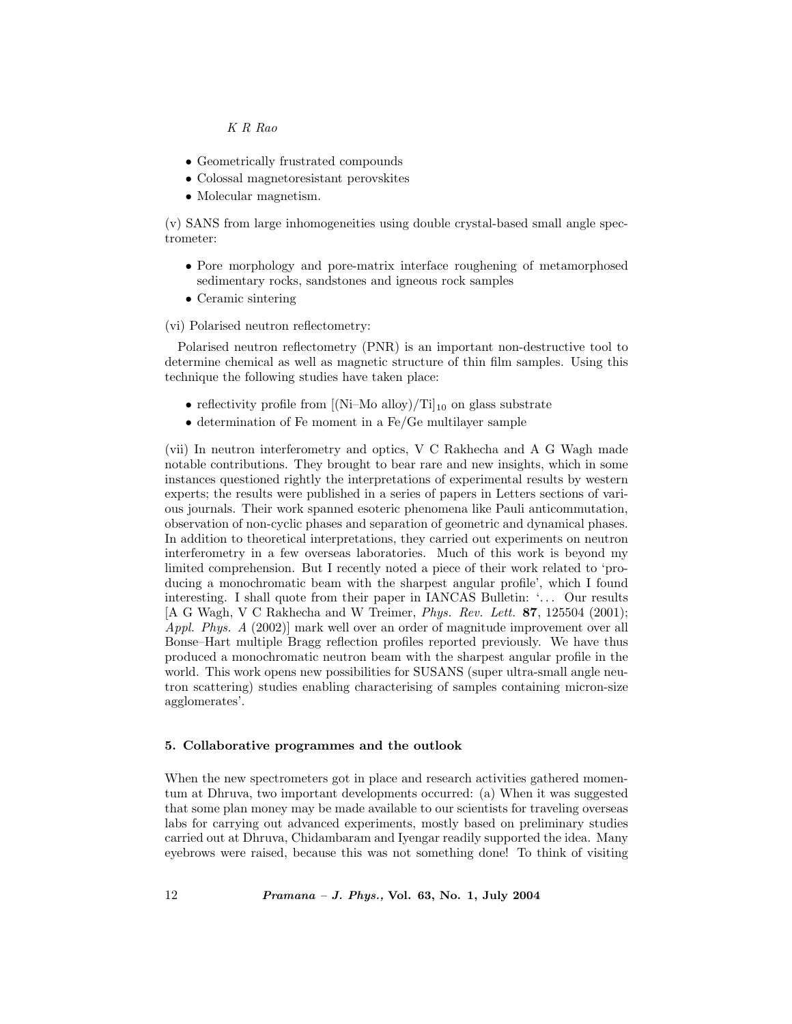- Geometrically frustrated compounds
- Colossal magnetoresistant perovskites
- Molecular magnetism.

(v) SANS from large inhomogeneities using double crystal-based small angle spectrometer:

- Pore morphology and pore-matrix interface roughening of metamorphosed sedimentary rocks, sandstones and igneous rock samples
- Ceramic sintering

(vi) Polarised neutron reflectometry:

Polarised neutron reflectometry (PNR) is an important non-destructive tool to determine chemical as well as magnetic structure of thin film samples. Using this technique the following studies have taken place:

- reflectivity profile from  $[(Ni–Mo$  alloy $)/Ti]_{10}$  on glass substrate
- determination of Fe moment in a Fe/Ge multilayer sample

(vii) In neutron interferometry and optics, V C Rakhecha and A G Wagh made notable contributions. They brought to bear rare and new insights, which in some instances questioned rightly the interpretations of experimental results by western experts; the results were published in a series of papers in Letters sections of various journals. Their work spanned esoteric phenomena like Pauli anticommutation, observation of non-cyclic phases and separation of geometric and dynamical phases. In addition to theoretical interpretations, they carried out experiments on neutron interferometry in a few overseas laboratories. Much of this work is beyond my limited comprehension. But I recently noted a piece of their work related to 'producing a monochromatic beam with the sharpest angular profile', which I found interesting. I shall quote from their paper in IANCAS Bulletin: '... Our results [A G Wagh, V C Rakhecha and W Treimer, Phys. Rev. Lett. 87, 125504 (2001); Appl. Phys. A (2002)] mark well over an order of magnitude improvement over all Bonse–Hart multiple Bragg reflection profiles reported previously. We have thus produced a monochromatic neutron beam with the sharpest angular profile in the world. This work opens new possibilities for SUSANS (super ultra-small angle neutron scattering) studies enabling characterising of samples containing micron-size agglomerates'.

## 5. Collaborative programmes and the outlook

When the new spectrometers got in place and research activities gathered momentum at Dhruva, two important developments occurred: (a) When it was suggested that some plan money may be made available to our scientists for traveling overseas labs for carrying out advanced experiments, mostly based on preliminary studies carried out at Dhruva, Chidambaram and Iyengar readily supported the idea. Many eyebrows were raised, because this was not something done! To think of visiting

12 Pramana – J. Phys., Vol. 63, No. 1, July 2004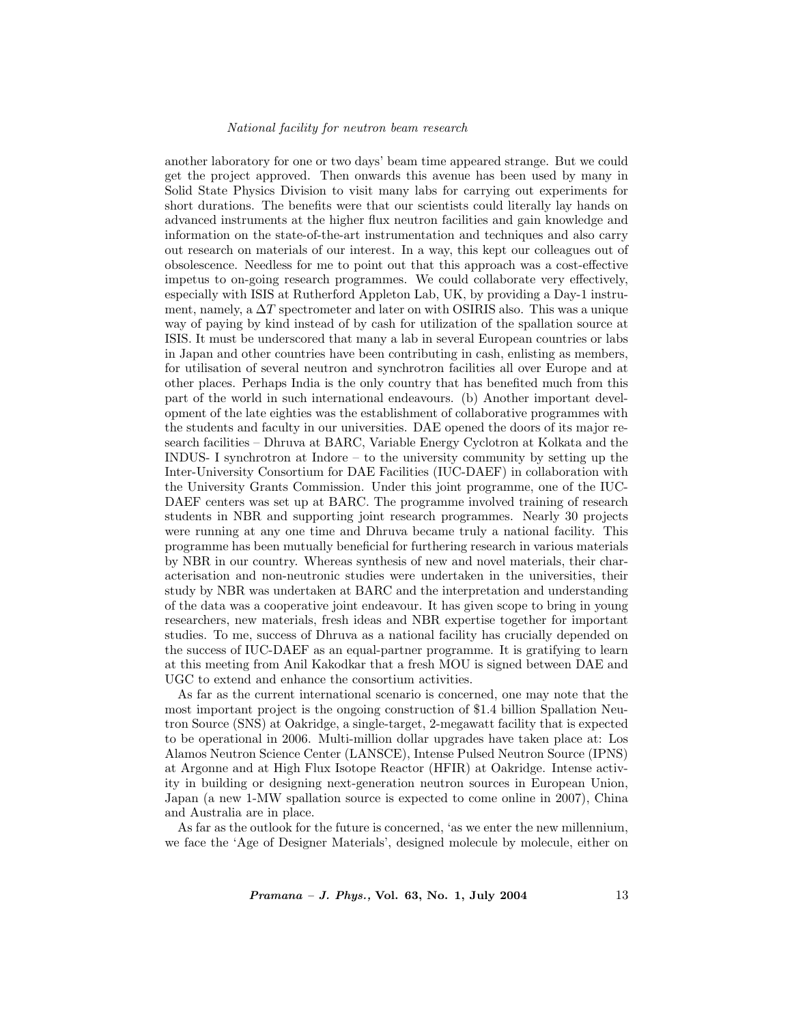another laboratory for one or two days' beam time appeared strange. But we could get the project approved. Then onwards this avenue has been used by many in Solid State Physics Division to visit many labs for carrying out experiments for short durations. The benefits were that our scientists could literally lay hands on advanced instruments at the higher flux neutron facilities and gain knowledge and information on the state-of-the-art instrumentation and techniques and also carry out research on materials of our interest. In a way, this kept our colleagues out of obsolescence. Needless for me to point out that this approach was a cost-effective impetus to on-going research programmes. We could collaborate very effectively, especially with ISIS at Rutherford Appleton Lab, UK, by providing a Day-1 instrument, namely, a  $\Delta T$  spectrometer and later on with OSIRIS also. This was a unique way of paying by kind instead of by cash for utilization of the spallation source at ISIS. It must be underscored that many a lab in several European countries or labs in Japan and other countries have been contributing in cash, enlisting as members, for utilisation of several neutron and synchrotron facilities all over Europe and at other places. Perhaps India is the only country that has benefited much from this part of the world in such international endeavours. (b) Another important development of the late eighties was the establishment of collaborative programmes with the students and faculty in our universities. DAE opened the doors of its major research facilities – Dhruva at BARC, Variable Energy Cyclotron at Kolkata and the INDUS- I synchrotron at Indore – to the university community by setting up the Inter-University Consortium for DAE Facilities (IUC-DAEF) in collaboration with the University Grants Commission. Under this joint programme, one of the IUC-DAEF centers was set up at BARC. The programme involved training of research students in NBR and supporting joint research programmes. Nearly 30 projects were running at any one time and Dhruva became truly a national facility. This programme has been mutually beneficial for furthering research in various materials by NBR in our country. Whereas synthesis of new and novel materials, their characterisation and non-neutronic studies were undertaken in the universities, their study by NBR was undertaken at BARC and the interpretation and understanding of the data was a cooperative joint endeavour. It has given scope to bring in young researchers, new materials, fresh ideas and NBR expertise together for important studies. To me, success of Dhruva as a national facility has crucially depended on the success of IUC-DAEF as an equal-partner programme. It is gratifying to learn at this meeting from Anil Kakodkar that a fresh MOU is signed between DAE and UGC to extend and enhance the consortium activities.

As far as the current international scenario is concerned, one may note that the most important project is the ongoing construction of \$1.4 billion Spallation Neutron Source (SNS) at Oakridge, a single-target, 2-megawatt facility that is expected to be operational in 2006. Multi-million dollar upgrades have taken place at: Los Alamos Neutron Science Center (LANSCE), Intense Pulsed Neutron Source (IPNS) at Argonne and at High Flux Isotope Reactor (HFIR) at Oakridge. Intense activity in building or designing next-generation neutron sources in European Union, Japan (a new 1-MW spallation source is expected to come online in 2007), China and Australia are in place.

As far as the outlook for the future is concerned, 'as we enter the new millennium, we face the 'Age of Designer Materials', designed molecule by molecule, either on